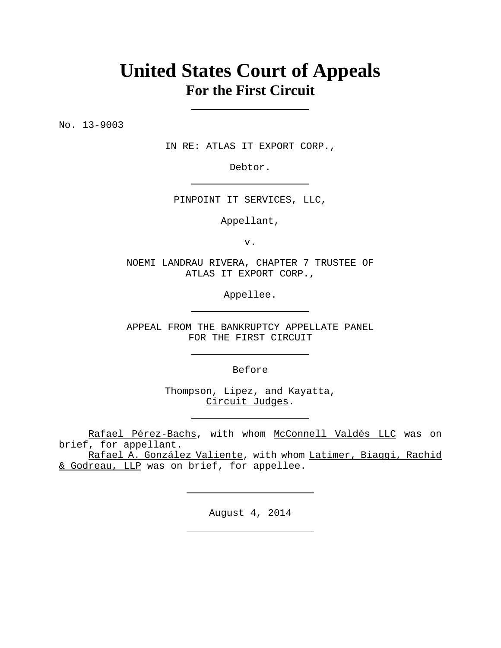# **United States Court of Appeals For the First Circuit**

No. 13-9003

IN RE: ATLAS IT EXPORT CORP.,

Debtor.

PINPOINT IT SERVICES, LLC,

Appellant,

v.

NOEMI LANDRAU RIVERA, CHAPTER 7 TRUSTEE OF ATLAS IT EXPORT CORP.,

Appellee.

APPEAL FROM THE BANKRUPTCY APPELLATE PANEL FOR THE FIRST CIRCUIT

Before

Thompson, Lipez, and Kayatta, Circuit Judges.

Rafael Pérez-Bachs, with whom McConnell Valdés LLC was on brief, for appellant.

Rafael A. González Valiente, with whom Latimer, Biaggi, Rachid & Godreau, LLP was on brief, for appellee.

August 4, 2014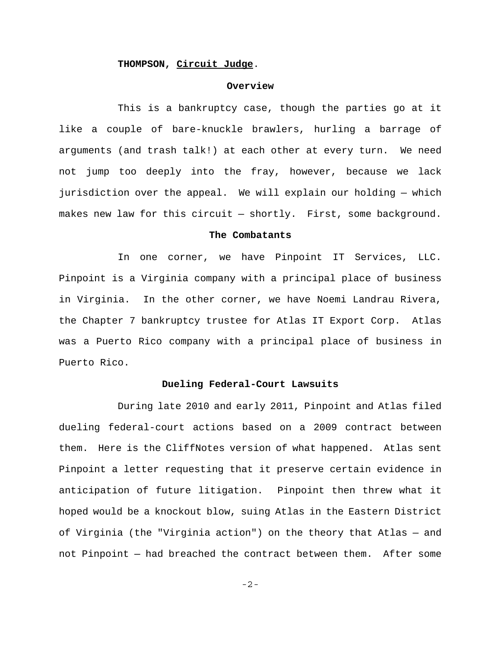# **THOMPSON, Circuit Judge**.

#### **Overview**

This is a bankruptcy case, though the parties go at it like a couple of bare-knuckle brawlers, hurling a barrage of arguments (and trash talk!) at each other at every turn. We need not jump too deeply into the fray, however, because we lack jurisdiction over the appeal. We will explain our holding — which makes new law for this circuit — shortly. First, some background.

#### **The Combatants**

In one corner, we have Pinpoint IT Services, LLC. Pinpoint is a Virginia company with a principal place of business in Virginia. In the other corner, we have Noemi Landrau Rivera, the Chapter 7 bankruptcy trustee for Atlas IT Export Corp. Atlas was a Puerto Rico company with a principal place of business in Puerto Rico.

#### **Dueling Federal-Court Lawsuits**

During late 2010 and early 2011, Pinpoint and Atlas filed dueling federal-court actions based on a 2009 contract between them. Here is the CliffNotes version of what happened. Atlas sent Pinpoint a letter requesting that it preserve certain evidence in anticipation of future litigation. Pinpoint then threw what it hoped would be a knockout blow, suing Atlas in the Eastern District of Virginia (the "Virginia action") on the theory that Atlas — and not Pinpoint — had breached the contract between them. After some

-2-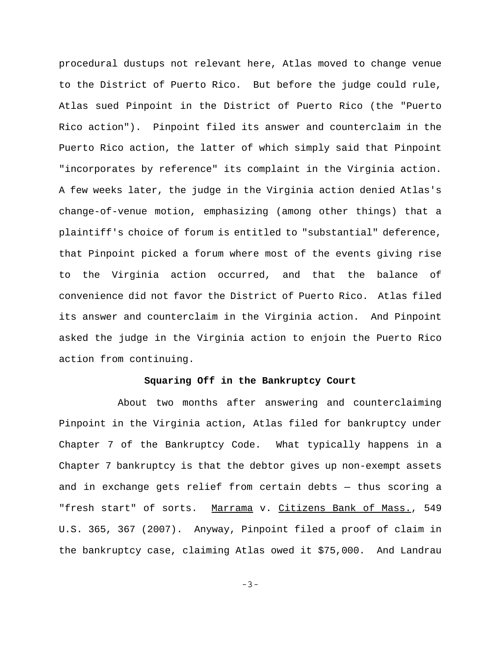procedural dustups not relevant here, Atlas moved to change venue to the District of Puerto Rico. But before the judge could rule, Atlas sued Pinpoint in the District of Puerto Rico (the "Puerto Rico action"). Pinpoint filed its answer and counterclaim in the Puerto Rico action, the latter of which simply said that Pinpoint "incorporates by reference" its complaint in the Virginia action. A few weeks later, the judge in the Virginia action denied Atlas's change-of-venue motion, emphasizing (among other things) that a plaintiff's choice of forum is entitled to "substantial" deference, that Pinpoint picked a forum where most of the events giving rise to the Virginia action occurred, and that the balance of convenience did not favor the District of Puerto Rico. Atlas filed its answer and counterclaim in the Virginia action. And Pinpoint asked the judge in the Virginia action to enjoin the Puerto Rico action from continuing.

#### **Squaring Off in the Bankruptcy Court**

About two months after answering and counterclaiming Pinpoint in the Virginia action, Atlas filed for bankruptcy under Chapter 7 of the Bankruptcy Code. What typically happens in a Chapter 7 bankruptcy is that the debtor gives up non-exempt assets and in exchange gets relief from certain debts — thus scoring a "fresh start" of sorts. Marrama v. Citizens Bank of Mass., 549 U.S. 365, 367 (2007). Anyway, Pinpoint filed a proof of claim in the bankruptcy case, claiming Atlas owed it \$75,000. And Landrau

-3-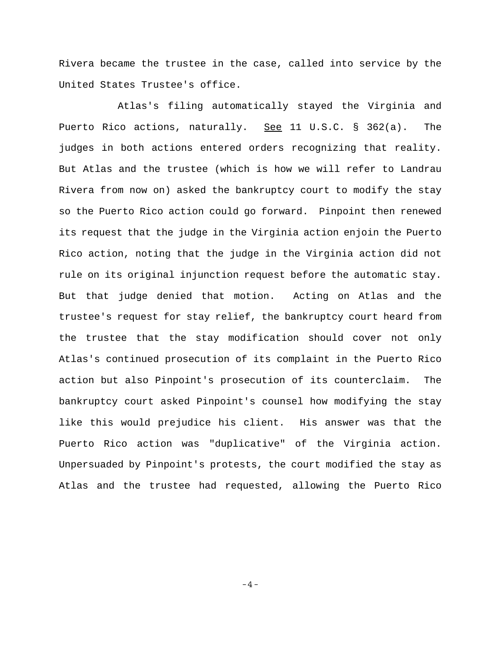Rivera became the trustee in the case, called into service by the United States Trustee's office.

Atlas's filing automatically stayed the Virginia and Puerto Rico actions, naturally. See 11 U.S.C. § 362(a). The judges in both actions entered orders recognizing that reality. But Atlas and the trustee (which is how we will refer to Landrau Rivera from now on) asked the bankruptcy court to modify the stay so the Puerto Rico action could go forward. Pinpoint then renewed its request that the judge in the Virginia action enjoin the Puerto Rico action, noting that the judge in the Virginia action did not rule on its original injunction request before the automatic stay. But that judge denied that motion. Acting on Atlas and the trustee's request for stay relief, the bankruptcy court heard from the trustee that the stay modification should cover not only Atlas's continued prosecution of its complaint in the Puerto Rico action but also Pinpoint's prosecution of its counterclaim. The bankruptcy court asked Pinpoint's counsel how modifying the stay like this would prejudice his client. His answer was that the Puerto Rico action was "duplicative" of the Virginia action. Unpersuaded by Pinpoint's protests, the court modified the stay as Atlas and the trustee had requested, allowing the Puerto Rico

-4-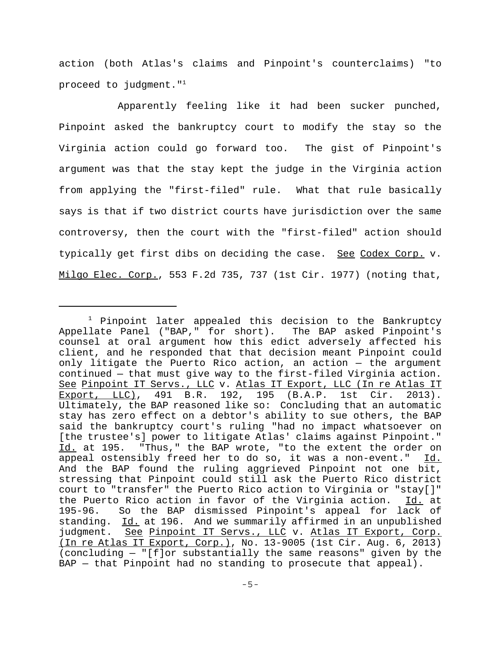action (both Atlas's claims and Pinpoint's counterclaims) "to proceed to judgment."1

Apparently feeling like it had been sucker punched, Pinpoint asked the bankruptcy court to modify the stay so the Virginia action could go forward too. The gist of Pinpoint's argument was that the stay kept the judge in the Virginia action from applying the "first-filed" rule. What that rule basically says is that if two district courts have jurisdiction over the same controversy, then the court with the "first-filed" action should typically get first dibs on deciding the case. See Codex Corp. v. Milgo Elec. Corp., 553 F.2d 735, 737 (1st Cir. 1977) (noting that,

<sup>&</sup>lt;sup>1</sup> Pinpoint later appealed this decision to the Bankruptcy Appellate Panel ("BAP," for short). The BAP asked Pinpoint's counsel at oral argument how this edict adversely affected his client, and he responded that that decision meant Pinpoint could only litigate the Puerto Rico action, an action — the argument continued — that must give way to the first-filed Virginia action. See Pinpoint IT Servs., LLC v. Atlas IT Export, LLC (In re Atlas IT Export, LLC), 491 B.R. 192, 195 (B.A.P. 1st Cir. 2013). Ultimately, the BAP reasoned like so: Concluding that an automatic stay has zero effect on a debtor's ability to sue others, the BAP said the bankruptcy court's ruling "had no impact whatsoever on [the trustee's] power to litigate Atlas' claims against Pinpoint." Id. at 195. "Thus," the BAP wrote, "to the extent the order on appeal ostensibly freed her to do so, it was a non-event." Id. And the BAP found the ruling aggrieved Pinpoint not one bit, stressing that Pinpoint could still ask the Puerto Rico district court to "transfer" the Puerto Rico action to Virginia or "stay[]" the Puerto Rico action in favor of the Virginia action. Id. at 195-96. So the BAP dismissed Pinpoint's appeal for lack of standing. Id. at 196. And we summarily affirmed in an unpublished judgment. See Pinpoint IT Servs., LLC v. Atlas IT Export, Corp. (In re Atlas IT Export, Corp.), No. 13-9005 (1st Cir. Aug. 6, 2013) (concluding — "[f]or substantially the same reasons" given by the BAP - that Pinpoint had no standing to prosecute that appeal).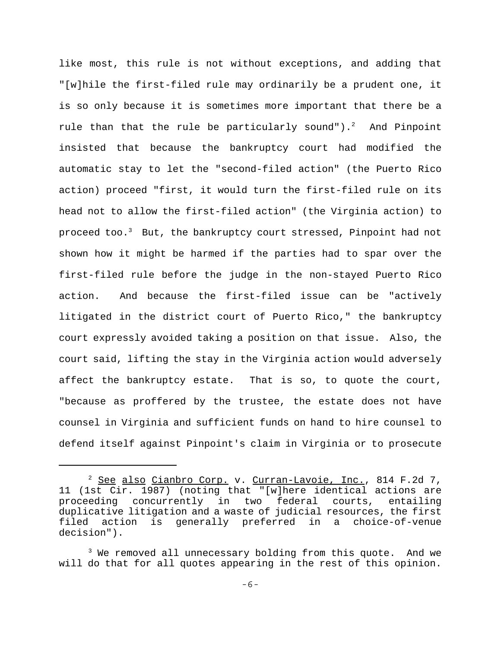like most, this rule is not without exceptions, and adding that "[w]hile the first-filed rule may ordinarily be a prudent one, it is so only because it is sometimes more important that there be a rule than that the rule be particularly sound"). $^2$  And Pinpoint insisted that because the bankruptcy court had modified the automatic stay to let the "second-filed action" (the Puerto Rico action) proceed "first, it would turn the first-filed rule on its head not to allow the first-filed action" (the Virginia action) to proceed too.3 But, the bankruptcy court stressed, Pinpoint had not shown how it might be harmed if the parties had to spar over the first-filed rule before the judge in the non-stayed Puerto Rico action. And because the first-filed issue can be "actively litigated in the district court of Puerto Rico," the bankruptcy court expressly avoided taking a position on that issue. Also, the court said, lifting the stay in the Virginia action would adversely affect the bankruptcy estate. That is so, to quote the court, "because as proffered by the trustee, the estate does not have counsel in Virginia and sufficient funds on hand to hire counsel to defend itself against Pinpoint's claim in Virginia or to prosecute

<sup>&</sup>lt;sup>2</sup> See also Cianbro Corp. v. Curran-Lavoie, Inc., 814 F.2d 7, 11 (1st Cir. 1987) (noting that "[w]here identical actions are proceeding concurrently in two federal courts, entailing duplicative litigation and a waste of judicial resources, the first filed action is generally preferred in a choice-of-venue decision").

 $^3$  We removed all unnecessary bolding from this quote. And we will do that for all quotes appearing in the rest of this opinion.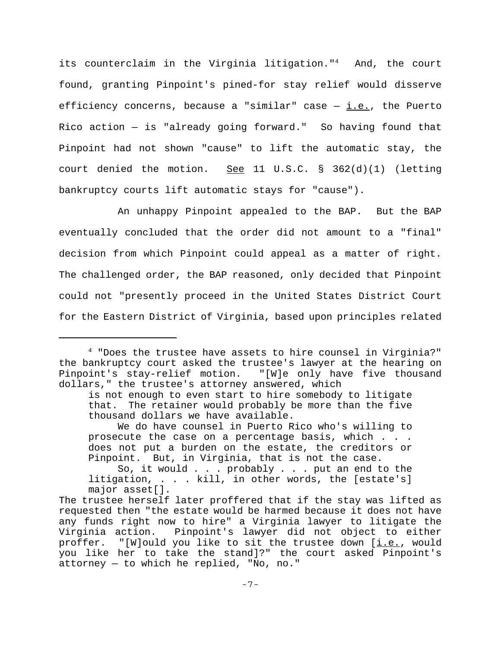its counterclaim in the Virginia litigation."<sup>4</sup> And, the court found, granting Pinpoint's pined-for stay relief would disserve efficiency concerns, because a "similar" case  $-$  <u>i.e.</u>, the Puerto Rico action — is "already going forward." So having found that Pinpoint had not shown "cause" to lift the automatic stay, the court denied the motion. See 11 U.S.C.  $\S$  362(d)(1) (letting bankruptcy courts lift automatic stays for "cause").

 An unhappy Pinpoint appealed to the BAP. But the BAP eventually concluded that the order did not amount to a "final" decision from which Pinpoint could appeal as a matter of right. The challenged order, the BAP reasoned, only decided that Pinpoint could not "presently proceed in the United States District Court for the Eastern District of Virginia, based upon principles related

<sup>4 &</sup>quot;Does the trustee have assets to hire counsel in Virginia?" the bankruptcy court asked the trustee's lawyer at the hearing on Pinpoint's stay-relief motion. "[W]e only have five thousand dollars," the trustee's attorney answered, which

is not enough to even start to hire somebody to litigate that. The retainer would probably be more than the five thousand dollars we have available.

We do have counsel in Puerto Rico who's willing to prosecute the case on a percentage basis, which . . . does not put a burden on the estate, the creditors or Pinpoint. But, in Virginia, that is not the case.

So, it would . . . probably . . . put an end to the litigation, . . . kill, in other words, the [estate's] major asset[].

The trustee herself later proffered that if the stay was lifted as requested then "the estate would be harmed because it does not have any funds right now to hire" a Virginia lawyer to litigate the Virginia action. Pinpoint's lawyer did not object to either proffer. "[W]ould you like to sit the trustee down [i.e., would you like her to take the stand]?" the court asked Pinpoint's attorney — to which he replied, "No, no."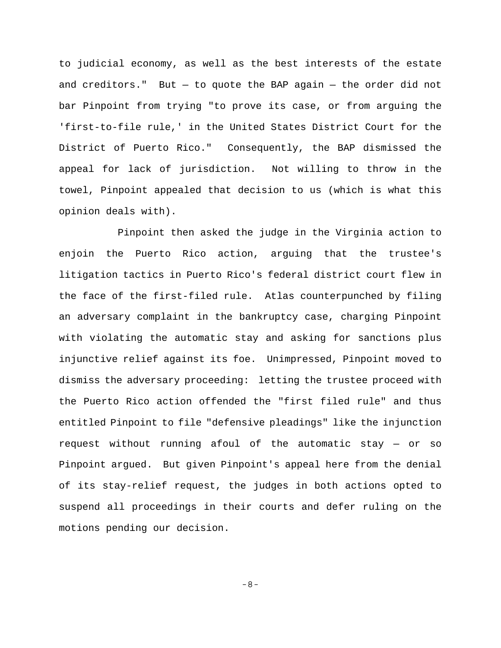to judicial economy, as well as the best interests of the estate and creditors." But  $-$  to quote the BAP again  $-$  the order did not bar Pinpoint from trying "to prove its case, or from arguing the 'first-to-file rule,' in the United States District Court for the District of Puerto Rico." Consequently, the BAP dismissed the appeal for lack of jurisdiction. Not willing to throw in the towel, Pinpoint appealed that decision to us (which is what this opinion deals with).

Pinpoint then asked the judge in the Virginia action to enjoin the Puerto Rico action, arguing that the trustee's litigation tactics in Puerto Rico's federal district court flew in the face of the first-filed rule. Atlas counterpunched by filing an adversary complaint in the bankruptcy case, charging Pinpoint with violating the automatic stay and asking for sanctions plus injunctive relief against its foe. Unimpressed, Pinpoint moved to dismiss the adversary proceeding: letting the trustee proceed with the Puerto Rico action offended the "first filed rule" and thus entitled Pinpoint to file "defensive pleadings" like the injunction request without running afoul of the automatic stay — or so Pinpoint argued. But given Pinpoint's appeal here from the denial of its stay-relief request, the judges in both actions opted to suspend all proceedings in their courts and defer ruling on the motions pending our decision.

-8-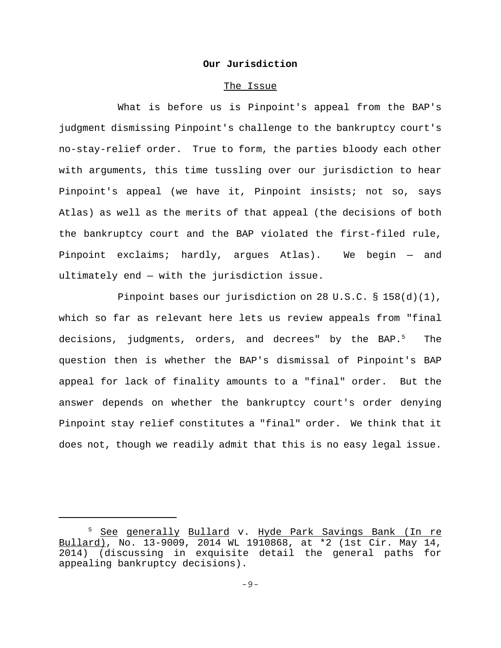# **Our Jurisdiction**

#### The Issue

What is before us is Pinpoint's appeal from the BAP's judgment dismissing Pinpoint's challenge to the bankruptcy court's no-stay-relief order. True to form, the parties bloody each other with arguments, this time tussling over our jurisdiction to hear Pinpoint's appeal (we have it, Pinpoint insists; not so, says Atlas) as well as the merits of that appeal (the decisions of both the bankruptcy court and the BAP violated the first-filed rule, Pinpoint exclaims; hardly, argues Atlas). We begin — and ultimately end — with the jurisdiction issue.

Pinpoint bases our jurisdiction on 28 U.S.C. § 158(d)(1), which so far as relevant here lets us review appeals from "final decisions, judgments, orders, and decrees" by the BAP.<sup>5</sup> The question then is whether the BAP's dismissal of Pinpoint's BAP appeal for lack of finality amounts to a "final" order. But the answer depends on whether the bankruptcy court's order denying Pinpoint stay relief constitutes a "final" order. We think that it does not, though we readily admit that this is no easy legal issue.

<sup>&</sup>lt;sup>5</sup> <u>See generally Bullard</u> v. <u>Hyde Park Savings Bank (In re</u> Bullard), No. 13-9009, 2014 WL 1910868, at \*2 (1st Cir. May 14, 2014) (discussing in exquisite detail the general paths for appealing bankruptcy decisions).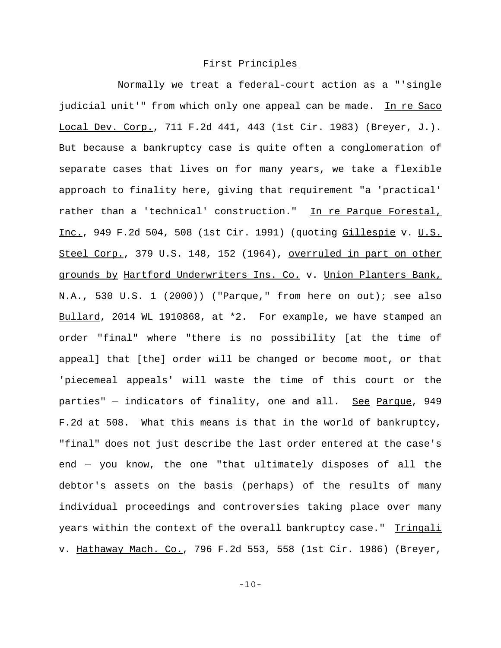# First Principles

Normally we treat a federal-court action as a "'single judicial unit'" from which only one appeal can be made. In re Saco Local Dev. Corp., 711 F.2d 441, 443 (1st Cir. 1983) (Breyer, J.). But because a bankruptcy case is quite often a conglomeration of separate cases that lives on for many years, we take a flexible approach to finality here, giving that requirement "a 'practical' rather than a 'technical' construction." In re Parque Forestal, Inc., 949 F.2d 504, 508 (1st Cir. 1991) (quoting Gillespie v. U.S. Steel Corp., 379 U.S. 148, 152 (1964), overruled in part on other grounds by Hartford Underwriters Ins. Co. v. Union Planters Bank, N.A., 530 U.S. 1 (2000)) ("Parque," from here on out); see also Bullard, 2014 WL 1910868, at \*2. For example, we have stamped an order "final" where "there is no possibility [at the time of appeal] that [the] order will be changed or become moot, or that 'piecemeal appeals' will waste the time of this court or the parties" - indicators of finality, one and all. See Parque, 949 F.2d at 508. What this means is that in the world of bankruptcy, "final" does not just describe the last order entered at the case's end — you know, the one "that ultimately disposes of all the debtor's assets on the basis (perhaps) of the results of many individual proceedings and controversies taking place over many years within the context of the overall bankruptcy case." Tringali v. Hathaway Mach. Co., 796 F.2d 553, 558 (1st Cir. 1986) (Breyer,

-10-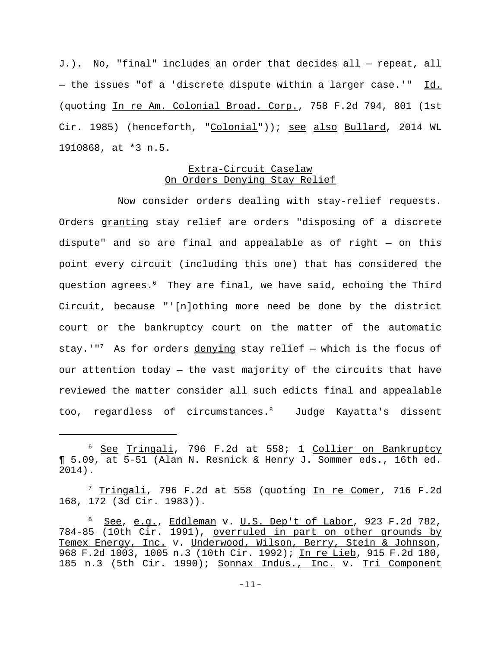J.). No, "final" includes an order that decides all — repeat, all - the issues "of a 'discrete dispute within a larger case.'" Id. (quoting In re Am. Colonial Broad. Corp., 758 F.2d 794, 801 (1st Cir. 1985) (henceforth, "Colonial")); see also Bullard, 2014 WL 1910868, at \*3 n.5.

# Extra-Circuit Caselaw On Orders Denying Stay Relief

Now consider orders dealing with stay-relief requests. Orders granting stay relief are orders "disposing of a discrete dispute" and so are final and appealable as of right — on this point every circuit (including this one) that has considered the question agrees.<sup>6</sup> They are final, we have said, echoing the Third Circuit, because "'[n]othing more need be done by the district court or the bankruptcy court on the matter of the automatic stay.'"<sup>7</sup> As for orders denying stay relief  $-$  which is the focus of our attention today — the vast majority of the circuits that have reviewed the matter consider all such edicts final and appealable too, regardless of circumstances. Judge Kayatta's dissent

<sup>7</sup> Tringali, 796 F.2d at 558 (quoting <u>In re Comer</u>, 716 F.2d 168, 172 (3d Cir. 1983)).

<sup>&</sup>lt;sup>6</sup> See Tringali, 796 F.2d at 558; 1 Collier on Bankruptcy ¶ 5.09, at 5-51 (Alan N. Resnick & Henry J. Sommer eds., 16th ed. 2014).

<sup>&</sup>lt;sup>8</sup> See, e.g., Eddleman v. U.S. Dep't of Labor, 923 F.2d 782, 784-85 (10th Cir. 1991), overruled in part on other grounds by Temex Energy, Inc. v. Underwood, Wilson, Berry, Stein & Johnson, 968 F.2d 1003, 1005 n.3 (10th Cir. 1992); In re Lieb, 915 F.2d 180, 185 n.3 (5th Cir. 1990); Sonnax Indus., Inc. v. Tri Component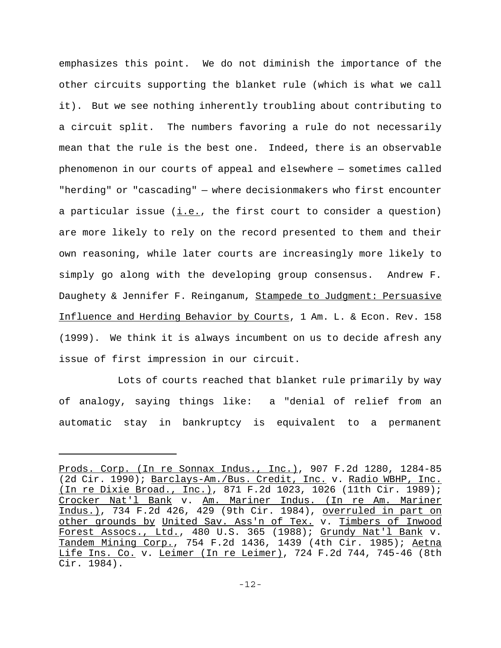emphasizes this point. We do not diminish the importance of the other circuits supporting the blanket rule (which is what we call it). But we see nothing inherently troubling about contributing to a circuit split. The numbers favoring a rule do not necessarily mean that the rule is the best one. Indeed, there is an observable phenomenon in our courts of appeal and elsewhere — sometimes called "herding" or "cascading" — where decisionmakers who first encounter a particular issue  $(i.e.,$  the first court to consider a question) are more likely to rely on the record presented to them and their own reasoning, while later courts are increasingly more likely to simply go along with the developing group consensus. Andrew F. Daughety & Jennifer F. Reinganum, Stampede to Judgment: Persuasive Influence and Herding Behavior by Courts, 1 Am. L. & Econ. Rev. 158 (1999). We think it is always incumbent on us to decide afresh any issue of first impression in our circuit.

Lots of courts reached that blanket rule primarily by way of analogy, saying things like: a "denial of relief from an automatic stay in bankruptcy is equivalent to a permanent

Prods. Corp. (In re Sonnax Indus., Inc.), 907 F.2d 1280, 1284-85 (2d Cir. 1990); Barclays-Am./Bus. Credit, Inc. v. Radio WBHP, Inc. (In re Dixie Broad., Inc.), 871 F.2d 1023, 1026 (11th Cir. 1989); Crocker Nat'l Bank v. Am. Mariner Indus. (In re Am. Mariner Indus.), 734 F.2d 426, 429 (9th Cir. 1984), overruled in part on other grounds by United Sav. Ass'n of Tex. v. Timbers of Inwood Forest Assocs., Ltd., 480 U.S. 365 (1988); Grundy Nat'l Bank v. Tandem Mining Corp., 754 F.2d 1436, 1439 (4th Cir. 1985); Aetna Life Ins. Co. v. Leimer (In re Leimer), 724 F.2d 744, 745-46 (8th Cir. 1984).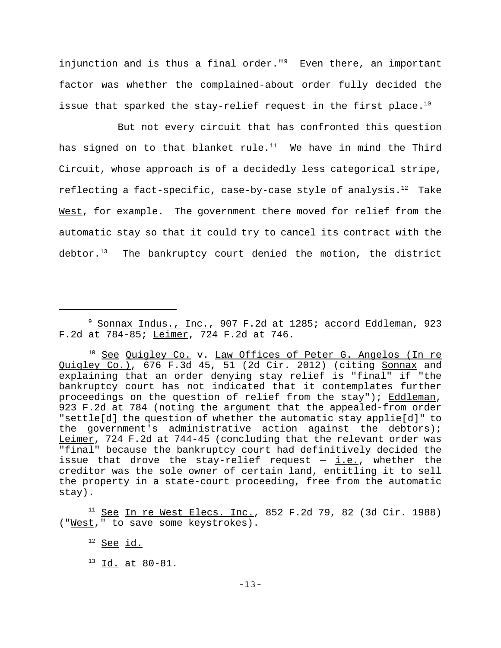injunction and is thus a final order." $9$  Even there, an important factor was whether the complained-about order fully decided the issue that sparked the stay-relief request in the first place.<sup>10</sup>

But not every circuit that has confronted this question has signed on to that blanket rule. $11$  We have in mind the Third Circuit, whose approach is of a decidedly less categorical stripe, reflecting a fact-specific, case-by-case style of analysis. $12$  Take West, for example. The government there moved for relief from the automatic stay so that it could try to cancel its contract with the debtor. $13$  The bankruptcy court denied the motion, the district

<sup>&</sup>lt;sup>9</sup> Sonnax Indus., Inc., 907 F.2d at 1285; <u>accord Eddleman</u>, 923 F.2d at 784-85; Leimer, 724 F.2d at 746.

<sup>&</sup>lt;sup>10</sup> See Quigley Co. v. Law Offices of Peter G. Angelos (In re Quigley Co.), 676 F.3d 45, 51 (2d Cir. 2012) (citing Sonnax and explaining that an order denying stay relief is "final" if "the bankruptcy court has not indicated that it contemplates further proceedings on the question of relief from the stay"); Eddleman, 923 F.2d at 784 (noting the argument that the appealed-from order "settle[d] the question of whether the automatic stay applie[d]" to the government's administrative action against the debtors); Leimer, 724 F.2d at 744-45 (concluding that the relevant order was "final" because the bankruptcy court had definitively decided the issue that drove the stay-relief request  $-$  i.e., whether the creditor was the sole owner of certain land, entitling it to sell the property in a state-court proceeding, free from the automatic stay).

 $11$  See In re West Elecs. Inc., 852 F.2d 79, 82 (3d Cir. 1988) ("West," to save some keystrokes).

 $12$  See id.

 $^{13}$  Id. at 80-81.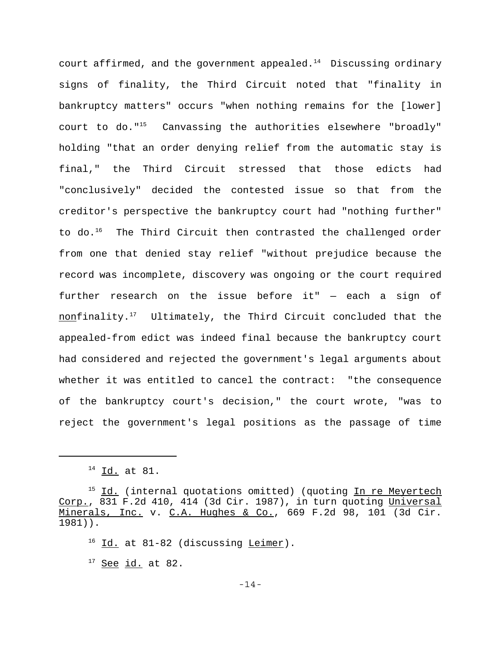court affirmed, and the government appealed. $14$  Discussing ordinary signs of finality, the Third Circuit noted that "finality in bankruptcy matters" occurs "when nothing remains for the [lower] court to do."<sup>15</sup> Canvassing the authorities elsewhere "broadly" holding "that an order denying relief from the automatic stay is final," the Third Circuit stressed that those edicts had "conclusively" decided the contested issue so that from the creditor's perspective the bankruptcy court had "nothing further" to do.<sup>16</sup> The Third Circuit then contrasted the challenged order from one that denied stay relief "without prejudice because the record was incomplete, discovery was ongoing or the court required further research on the issue before it" — each a sign of nonfinality.<sup>17</sup> Ultimately, the Third Circuit concluded that the appealed-from edict was indeed final because the bankruptcy court had considered and rejected the government's legal arguments about whether it was entitled to cancel the contract: "the consequence of the bankruptcy court's decision," the court wrote, "was to reject the government's legal positions as the passage of time

 $17$  See id. at 82.

<sup>14</sup> Id. at 81.

<sup>&</sup>lt;sup>15</sup> Id. (internal quotations omitted) (quoting In re Meyertech Corp., 831 F.2d 410, 414 (3d Cir. 1987), in turn quoting Universal Minerals, Inc. v. C.A. Hughes & Co., 669 F.2d 98, 101 (3d Cir. 1981)).

 $16$  Id. at 81-82 (discussing Leimer).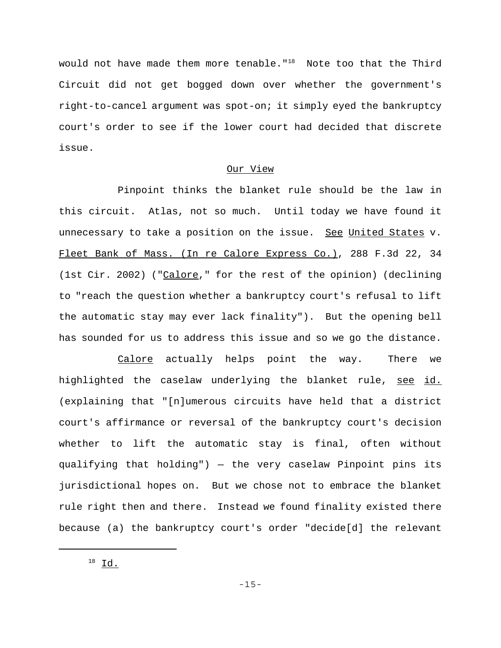would not have made them more tenable."<sup>18</sup> Note too that the Third Circuit did not get bogged down over whether the government's right-to-cancel argument was spot-on; it simply eyed the bankruptcy court's order to see if the lower court had decided that discrete issue.

# Our View

Pinpoint thinks the blanket rule should be the law in this circuit. Atlas, not so much. Until today we have found it unnecessary to take a position on the issue. See United States v. Fleet Bank of Mass. (In re Calore Express Co.), 288 F.3d 22, 34 (1st Cir. 2002) ("Calore," for the rest of the opinion) (declining to "reach the question whether a bankruptcy court's refusal to lift the automatic stay may ever lack finality"). But the opening bell has sounded for us to address this issue and so we go the distance.

Calore actually helps point the way. There we highlighted the caselaw underlying the blanket rule, see id. (explaining that "[n]umerous circuits have held that a district court's affirmance or reversal of the bankruptcy court's decision whether to lift the automatic stay is final, often without qualifying that holding") — the very caselaw Pinpoint pins its jurisdictional hopes on. But we chose not to embrace the blanket rule right then and there. Instead we found finality existed there because (a) the bankruptcy court's order "decide[d] the relevant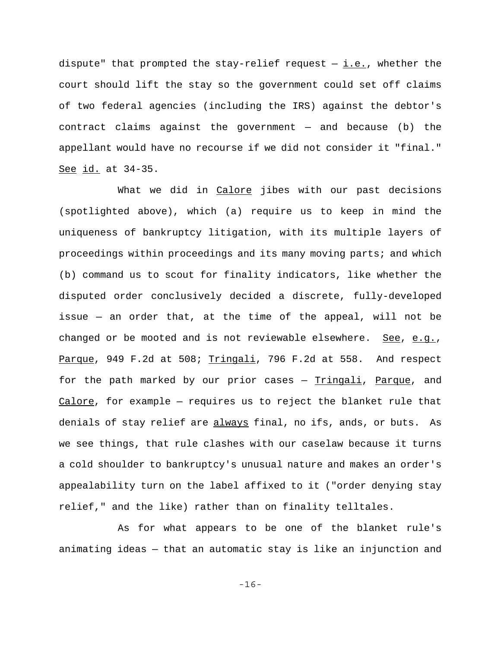dispute" that prompted the stay-relief request  $-$  i.e., whether the court should lift the stay so the government could set off claims of two federal agencies (including the IRS) against the debtor's contract claims against the government — and because (b) the appellant would have no recourse if we did not consider it "final." See id. at 34-35.

What we did in Calore jibes with our past decisions (spotlighted above), which (a) require us to keep in mind the uniqueness of bankruptcy litigation, with its multiple layers of proceedings within proceedings and its many moving parts; and which (b) command us to scout for finality indicators, like whether the disputed order conclusively decided a discrete, fully-developed issue — an order that, at the time of the appeal, will not be changed or be mooted and is not reviewable elsewhere. See, e.g., Parque, 949 F.2d at 508; Tringali, 796 F.2d at 558. And respect for the path marked by our prior cases - Tringali, Parque, and Calore, for example — requires us to reject the blanket rule that denials of stay relief are always final, no ifs, ands, or buts. As we see things, that rule clashes with our caselaw because it turns a cold shoulder to bankruptcy's unusual nature and makes an order's appealability turn on the label affixed to it ("order denying stay relief," and the like) rather than on finality telltales.

As for what appears to be one of the blanket rule's animating ideas — that an automatic stay is like an injunction and

-16-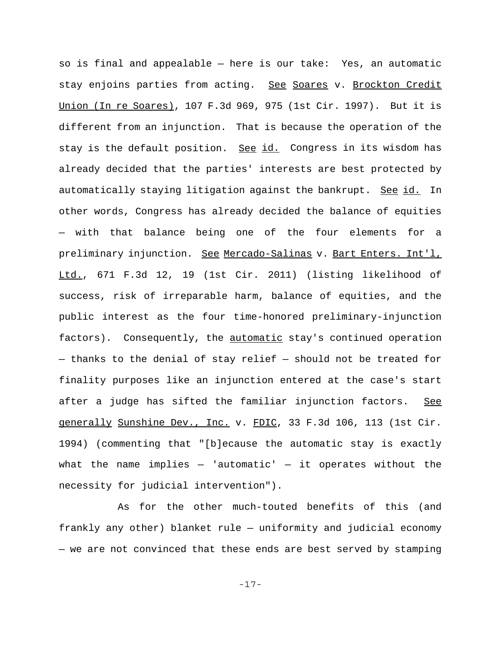so is final and appealable — here is our take: Yes, an automatic stay enjoins parties from acting. See Soares v. Brockton Credit Union (In re Soares), 107 F.3d 969, 975 (1st Cir. 1997). But it is different from an injunction. That is because the operation of the stay is the default position. See id. Congress in its wisdom has already decided that the parties' interests are best protected by automatically staying litigation against the bankrupt. See id. In other words, Congress has already decided the balance of equities — with that balance being one of the four elements for a preliminary injunction. See Mercado-Salinas v. Bart Enters. Int'l, Ltd., 671 F.3d 12, 19 (1st Cir. 2011) (listing likelihood of success, risk of irreparable harm, balance of equities, and the public interest as the four time-honored preliminary-injunction factors). Consequently, the automatic stay's continued operation — thanks to the denial of stay relief — should not be treated for finality purposes like an injunction entered at the case's start after a judge has sifted the familiar injunction factors. See generally Sunshine Dev., Inc. v. FDIC, 33 F.3d 106, 113 (1st Cir. 1994) (commenting that "[b]ecause the automatic stay is exactly what the name implies  $-$  'automatic'  $-$  it operates without the necessity for judicial intervention").

As for the other much-touted benefits of this (and frankly any other) blanket rule — uniformity and judicial economy — we are not convinced that these ends are best served by stamping

-17-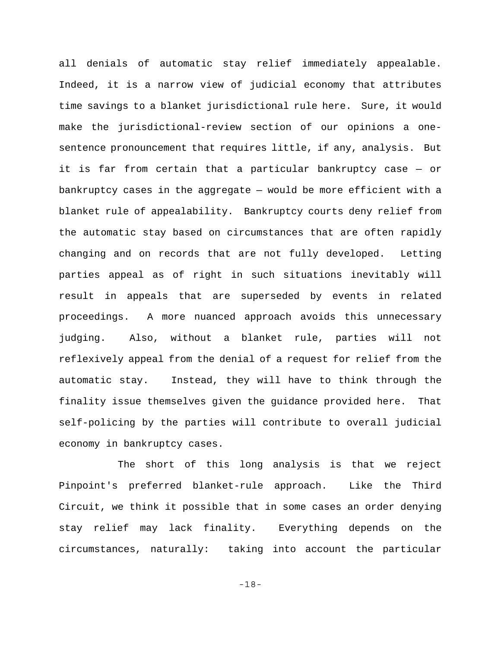all denials of automatic stay relief immediately appealable. Indeed, it is a narrow view of judicial economy that attributes time savings to a blanket jurisdictional rule here. Sure, it would make the jurisdictional-review section of our opinions a onesentence pronouncement that requires little, if any, analysis. But it is far from certain that a particular bankruptcy case — or bankruptcy cases in the aggregate — would be more efficient with a blanket rule of appealability. Bankruptcy courts deny relief from the automatic stay based on circumstances that are often rapidly changing and on records that are not fully developed. Letting parties appeal as of right in such situations inevitably will result in appeals that are superseded by events in related proceedings. A more nuanced approach avoids this unnecessary judging. Also, without a blanket rule, parties will not reflexively appeal from the denial of a request for relief from the automatic stay. Instead, they will have to think through the finality issue themselves given the guidance provided here. That self-policing by the parties will contribute to overall judicial economy in bankruptcy cases.

The short of this long analysis is that we reject Pinpoint's preferred blanket-rule approach. Like the Third Circuit, we think it possible that in some cases an order denying stay relief may lack finality. Everything depends on the circumstances, naturally: taking into account the particular

-18-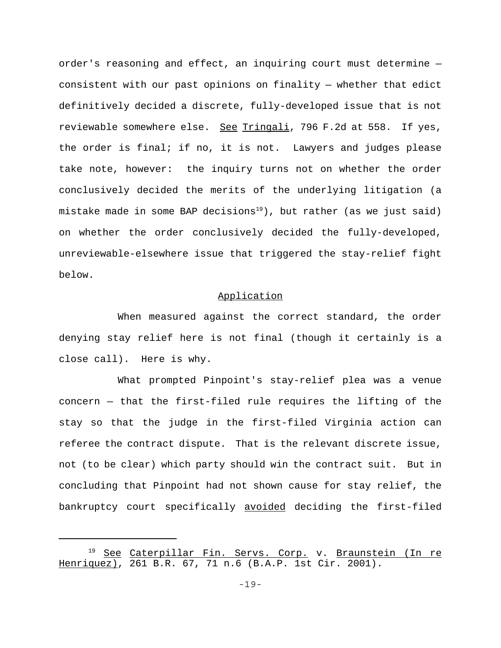order's reasoning and effect, an inquiring court must determine consistent with our past opinions on finality — whether that edict definitively decided a discrete, fully-developed issue that is not reviewable somewhere else. See Tringali, 796 F.2d at 558. If yes, the order is final; if no, it is not. Lawyers and judges please take note, however: the inquiry turns not on whether the order conclusively decided the merits of the underlying litigation (a mistake made in some BAP decisions<sup>19</sup>), but rather (as we just said) on whether the order conclusively decided the fully-developed, unreviewable-elsewhere issue that triggered the stay-relief fight below.

# Application

When measured against the correct standard, the order denying stay relief here is not final (though it certainly is a close call). Here is why.

What prompted Pinpoint's stay-relief plea was a venue concern — that the first-filed rule requires the lifting of the stay so that the judge in the first-filed Virginia action can referee the contract dispute. That is the relevant discrete issue, not (to be clear) which party should win the contract suit. But in concluding that Pinpoint had not shown cause for stay relief, the bankruptcy court specifically avoided deciding the first-filed

<sup>&</sup>lt;sup>19</sup> See Caterpillar Fin. Servs. Corp. v. Braunstein (In re Henriquez), 261 B.R. 67, 71 n.6 (B.A.P. 1st Cir. 2001).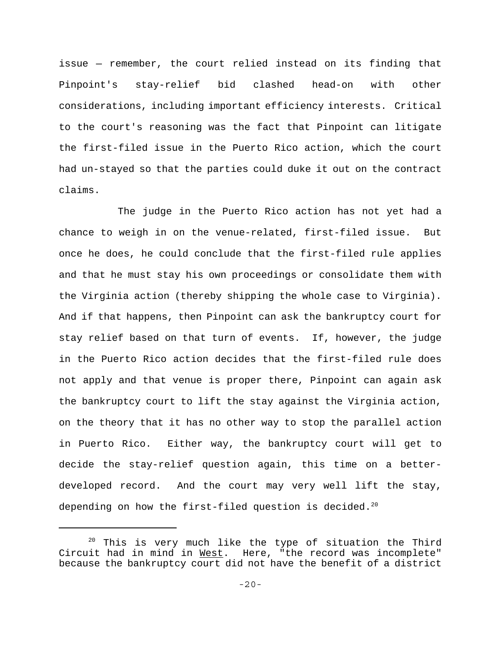issue — remember, the court relied instead on its finding that Pinpoint's stay-relief bid clashed head-on with other considerations, including important efficiency interests. Critical to the court's reasoning was the fact that Pinpoint can litigate the first-filed issue in the Puerto Rico action, which the court had un-stayed so that the parties could duke it out on the contract claims.

The judge in the Puerto Rico action has not yet had a chance to weigh in on the venue-related, first-filed issue. But once he does, he could conclude that the first-filed rule applies and that he must stay his own proceedings or consolidate them with the Virginia action (thereby shipping the whole case to Virginia). And if that happens, then Pinpoint can ask the bankruptcy court for stay relief based on that turn of events. If, however, the judge in the Puerto Rico action decides that the first-filed rule does not apply and that venue is proper there, Pinpoint can again ask the bankruptcy court to lift the stay against the Virginia action, on the theory that it has no other way to stop the parallel action in Puerto Rico. Either way, the bankruptcy court will get to decide the stay-relief question again, this time on a betterdeveloped record. And the court may very well lift the stay, depending on how the first-filed question is decided.<sup>20</sup>

<sup>&</sup>lt;sup>20</sup> This is very much like the type of situation the Third Circuit had in mind in West. Here, "the record was incomplete" because the bankruptcy court did not have the benefit of a district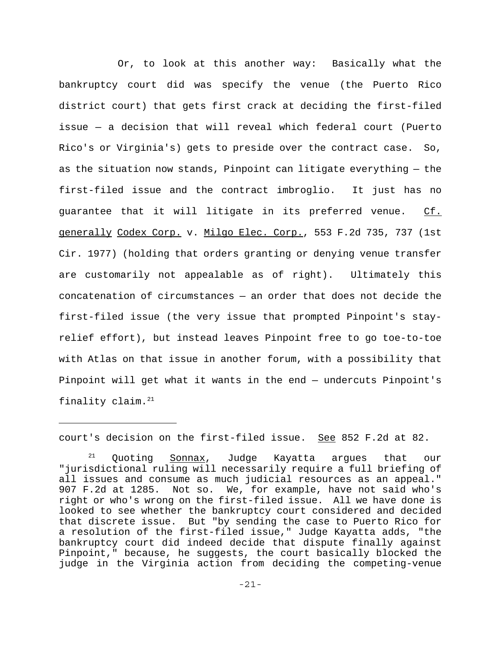Or, to look at this another way: Basically what the bankruptcy court did was specify the venue (the Puerto Rico district court) that gets first crack at deciding the first-filed issue — a decision that will reveal which federal court (Puerto Rico's or Virginia's) gets to preside over the contract case. So, as the situation now stands, Pinpoint can litigate everything — the first-filed issue and the contract imbroglio. It just has no guarantee that it will litigate in its preferred venue. Cf. generally Codex Corp. v. Milgo Elec. Corp., 553 F.2d 735, 737 (1st Cir. 1977) (holding that orders granting or denying venue transfer are customarily not appealable as of right). Ultimately this concatenation of circumstances — an order that does not decide the first-filed issue (the very issue that prompted Pinpoint's stayrelief effort), but instead leaves Pinpoint free to go toe-to-toe with Atlas on that issue in another forum, with a possibility that Pinpoint will get what it wants in the end — undercuts Pinpoint's finality claim.21

court's decision on the first-filed issue. See 852 F.2d at 82.

<sup>&</sup>lt;sup>21</sup> Quoting Sonnax, Judge Kayatta argues that our "jurisdictional ruling will necessarily require a full briefing of all issues and consume as much judicial resources as an appeal." 907 F.2d at 1285. Not so. We, for example, have not said who's right or who's wrong on the first-filed issue. All we have done is looked to see whether the bankruptcy court considered and decided that discrete issue. But "by sending the case to Puerto Rico for a resolution of the first-filed issue," Judge Kayatta adds, "the bankruptcy court did indeed decide that dispute finally against Pinpoint," because, he suggests, the court basically blocked the judge in the Virginia action from deciding the competing-venue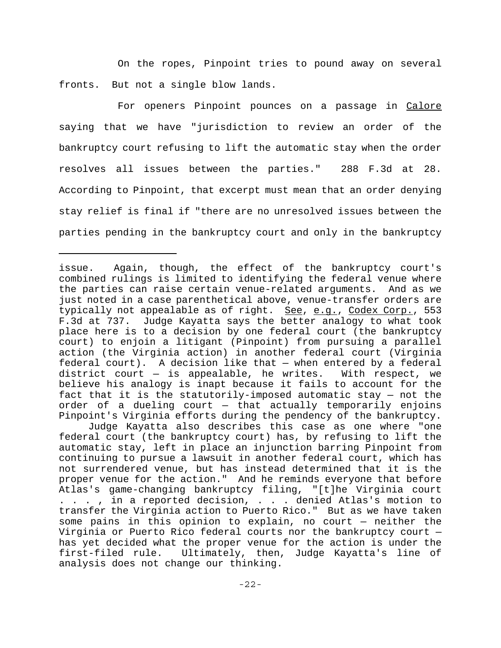On the ropes, Pinpoint tries to pound away on several fronts. But not a single blow lands.

For openers Pinpoint pounces on a passage in Calore saying that we have "jurisdiction to review an order of the bankruptcy court refusing to lift the automatic stay when the order resolves all issues between the parties." 288 F.3d at 28. According to Pinpoint, that excerpt must mean that an order denying stay relief is final if "there are no unresolved issues between the parties pending in the bankruptcy court and only in the bankruptcy

Judge Kayatta also describes this case as one where "one federal court (the bankruptcy court) has, by refusing to lift the automatic stay, left in place an injunction barring Pinpoint from continuing to pursue a lawsuit in another federal court, which has not surrendered venue, but has instead determined that it is the proper venue for the action." And he reminds everyone that before Atlas's game-changing bankruptcy filing, "[t]he Virginia court . . . , in a reported decision, . . . denied Atlas's motion to transfer the Virginia action to Puerto Rico." But as we have taken some pains in this opinion to explain, no court — neither the Virginia or Puerto Rico federal courts nor the bankruptcy court has yet decided what the proper venue for the action is under the first-filed rule. Ultimately, then, Judge Kayatta's line of analysis does not change our thinking.

issue. Again, though, the effect of the bankruptcy court's combined rulings is limited to identifying the federal venue where the parties can raise certain venue-related arguments. And as we just noted in a case parenthetical above, venue-transfer orders are typically not appealable as of right. See, e.g., Codex Corp., 553 F.3d at 737. Judge Kayatta says the better analogy to what took place here is to a decision by one federal court (the bankruptcy court) to enjoin a litigant (Pinpoint) from pursuing a parallel action (the Virginia action) in another federal court (Virginia federal court). A decision like that — when entered by a federal district court — is appealable, he writes. With respect, we believe his analogy is inapt because it fails to account for the fact that it is the statutorily-imposed automatic stay — not the order of a dueling court — that actually temporarily enjoins Pinpoint's Virginia efforts during the pendency of the bankruptcy.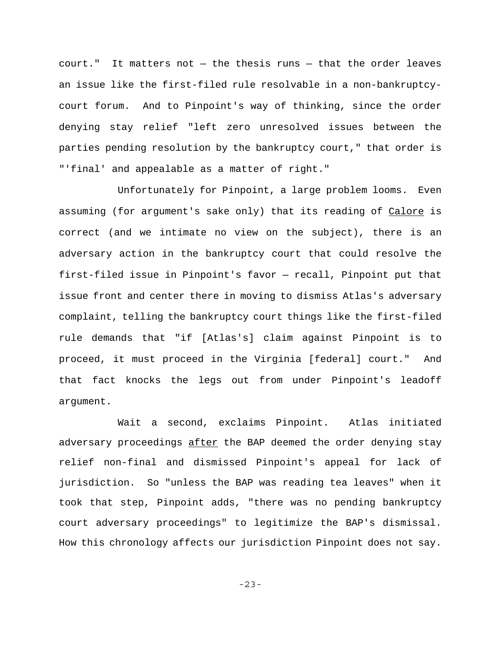court." It matters not — the thesis runs — that the order leaves an issue like the first-filed rule resolvable in a non-bankruptcycourt forum. And to Pinpoint's way of thinking, since the order denying stay relief "left zero unresolved issues between the parties pending resolution by the bankruptcy court," that order is "'final' and appealable as a matter of right."

Unfortunately for Pinpoint, a large problem looms. Even assuming (for argument's sake only) that its reading of Calore is correct (and we intimate no view on the subject), there is an adversary action in the bankruptcy court that could resolve the first-filed issue in Pinpoint's favor — recall, Pinpoint put that issue front and center there in moving to dismiss Atlas's adversary complaint, telling the bankruptcy court things like the first-filed rule demands that "if [Atlas's] claim against Pinpoint is to proceed, it must proceed in the Virginia [federal] court." And that fact knocks the legs out from under Pinpoint's leadoff argument.

Wait a second, exclaims Pinpoint. Atlas initiated adversary proceedings after the BAP deemed the order denying stay relief non-final and dismissed Pinpoint's appeal for lack of jurisdiction. So "unless the BAP was reading tea leaves" when it took that step, Pinpoint adds, "there was no pending bankruptcy court adversary proceedings" to legitimize the BAP's dismissal. How this chronology affects our jurisdiction Pinpoint does not say.

-23-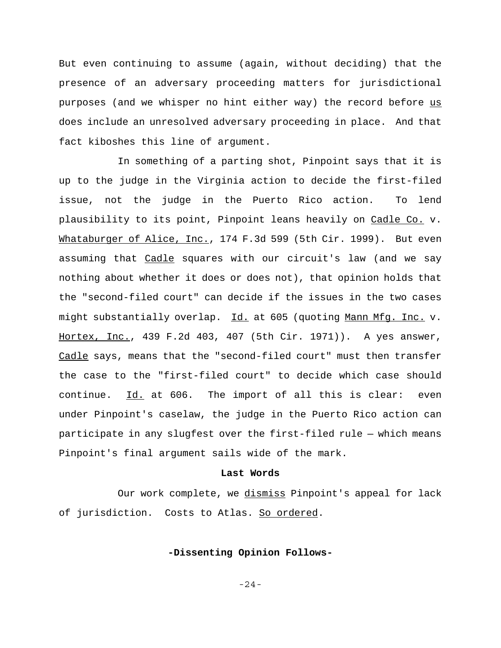But even continuing to assume (again, without deciding) that the presence of an adversary proceeding matters for jurisdictional purposes (and we whisper no hint either way) the record before us does include an unresolved adversary proceeding in place. And that fact kiboshes this line of argument.

In something of a parting shot, Pinpoint says that it is up to the judge in the Virginia action to decide the first-filed issue, not the judge in the Puerto Rico action. To lend plausibility to its point, Pinpoint leans heavily on Cadle Co. v. Whataburger of Alice, Inc., 174 F.3d 599 (5th Cir. 1999). But even assuming that Cadle squares with our circuit's law (and we say nothing about whether it does or does not), that opinion holds that the "second-filed court" can decide if the issues in the two cases might substantially overlap. Id. at 605 (quoting Mann Mfg. Inc. v. Hortex, Inc., 439 F.2d 403, 407 (5th Cir. 1971)). A yes answer, Cadle says, means that the "second-filed court" must then transfer the case to the "first-filed court" to decide which case should continue. Id. at 606. The import of all this is clear: even under Pinpoint's caselaw, the judge in the Puerto Rico action can participate in any slugfest over the first-filed rule — which means Pinpoint's final argument sails wide of the mark.

#### **Last Words**

Our work complete, we dismiss Pinpoint's appeal for lack of jurisdiction. Costs to Atlas. So ordered.

### **-Dissenting Opinion Follows-**

-24-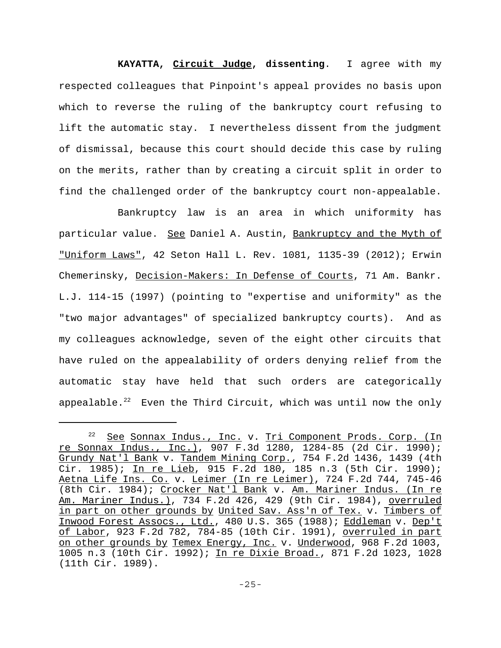**KAYATTA, Circuit Judge, dissenting**. I agree with my respected colleagues that Pinpoint's appeal provides no basis upon which to reverse the ruling of the bankruptcy court refusing to lift the automatic stay. I nevertheless dissent from the judgment of dismissal, because this court should decide this case by ruling on the merits, rather than by creating a circuit split in order to find the challenged order of the bankruptcy court non-appealable.

Bankruptcy law is an area in which uniformity has particular value. See Daniel A. Austin, Bankruptcy and the Myth of "Uniform Laws", 42 Seton Hall L. Rev. 1081, 1135-39 (2012); Erwin Chemerinsky, Decision-Makers: In Defense of Courts, 71 Am. Bankr. L.J. 114-15 (1997) (pointing to "expertise and uniformity" as the "two major advantages" of specialized bankruptcy courts). And as my colleagues acknowledge, seven of the eight other circuits that have ruled on the appealability of orders denying relief from the automatic stay have held that such orders are categorically appealable.<sup>22</sup> Even the Third Circuit, which was until now the only

<sup>&</sup>lt;sup>22</sup> See Sonnax Indus., Inc. v. Tri Component Prods. Corp. (In re Sonnax Indus., Inc.), 907 F.3d 1280, 1284-85 (2d Cir. 1990); Grundy Nat'l Bank v. Tandem Mining Corp., 754 F.2d 1436, 1439 (4th Cir. 1985); In re Lieb, 915 F.2d 180, 185 n.3 (5th Cir. 1990); Aetna Life Ins. Co. v. Leimer (In re Leimer), 724 F.2d 744, 745-46 (8th Cir. 1984); Crocker Nat'l Bank v. Am. Mariner Indus. (In re Am. Mariner Indus.), 734 F.2d 426, 429 (9th Cir. 1984), overruled in part on other grounds by United Sav. Ass'n of Tex. v. Timbers of Inwood Forest Assocs., Ltd., 480 U.S. 365 (1988); Eddleman v. Dep't of Labor, 923 F.2d 782, 784-85 (10th Cir. 1991), overruled in part on other grounds by Temex Energy, Inc. v. Underwood, 968 F.2d 1003, 1005 n.3 (10th Cir. 1992); In re Dixie Broad., 871 F.2d 1023, 1028 (11th Cir. 1989).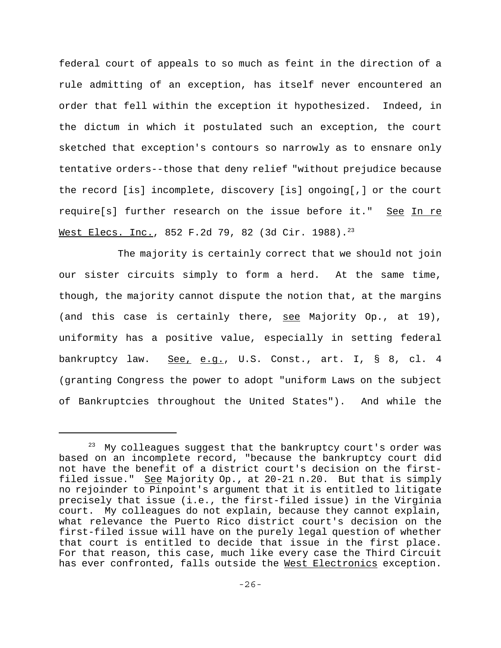federal court of appeals to so much as feint in the direction of a rule admitting of an exception, has itself never encountered an order that fell within the exception it hypothesized. Indeed, in the dictum in which it postulated such an exception, the court sketched that exception's contours so narrowly as to ensnare only tentative orders--those that deny relief "without prejudice because the record [is] incomplete, discovery [is] ongoing[,] or the court require[s] further research on the issue before it." See In re Mest Elecs. Inc., 852 F.2d 79, 82 (3d Cir. 1988).<sup>23</sup>

The majority is certainly correct that we should not join our sister circuits simply to form a herd. At the same time, though, the majority cannot dispute the notion that, at the margins (and this case is certainly there, see Majority Op., at 19), uniformity has a positive value, especially in setting federal bankruptcy law. See, e.g., U.S. Const., art. I, § 8, cl. 4 (granting Congress the power to adopt "uniform Laws on the subject of Bankruptcies throughout the United States"). And while the

 $23$  My colleagues suggest that the bankruptcy court's order was based on an incomplete record, "because the bankruptcy court did not have the benefit of a district court's decision on the firstfiled issue." See Majority Op., at 20-21 n.20. But that is simply no rejoinder to Pinpoint's argument that it is entitled to litigate precisely that issue (i.e., the first-filed issue) in the Virginia court. My colleagues do not explain, because they cannot explain, what relevance the Puerto Rico district court's decision on the first-filed issue will have on the purely legal question of whether that court is entitled to decide that issue in the first place. For that reason, this case, much like every case the Third Circuit has ever confronted, falls outside the West Electronics exception.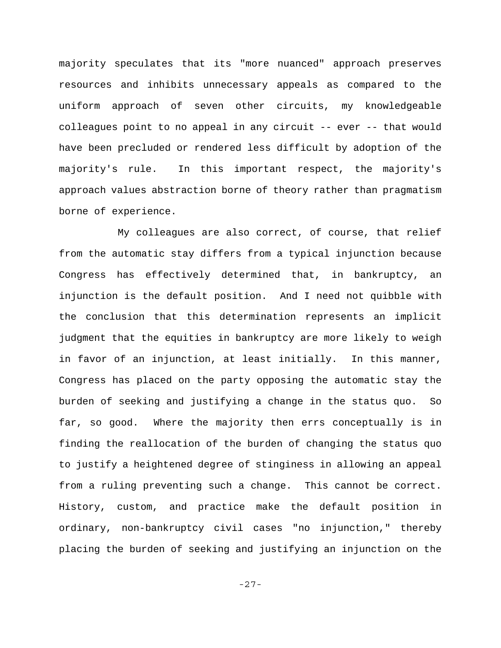majority speculates that its "more nuanced" approach preserves resources and inhibits unnecessary appeals as compared to the uniform approach of seven other circuits, my knowledgeable colleagues point to no appeal in any circuit -- ever -- that would have been precluded or rendered less difficult by adoption of the majority's rule. In this important respect, the majority's approach values abstraction borne of theory rather than pragmatism borne of experience.

My colleagues are also correct, of course, that relief from the automatic stay differs from a typical injunction because Congress has effectively determined that, in bankruptcy, an injunction is the default position. And I need not quibble with the conclusion that this determination represents an implicit judgment that the equities in bankruptcy are more likely to weigh in favor of an injunction, at least initially. In this manner, Congress has placed on the party opposing the automatic stay the burden of seeking and justifying a change in the status quo. So far, so good. Where the majority then errs conceptually is in finding the reallocation of the burden of changing the status quo to justify a heightened degree of stinginess in allowing an appeal from a ruling preventing such a change. This cannot be correct. History, custom, and practice make the default position in ordinary, non-bankruptcy civil cases "no injunction," thereby placing the burden of seeking and justifying an injunction on the

-27-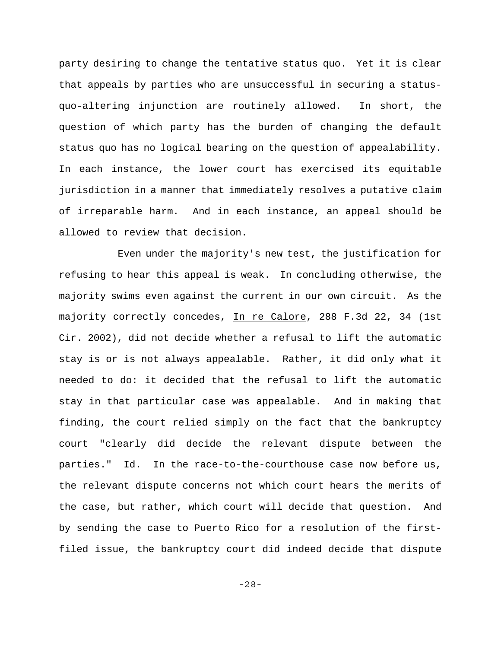party desiring to change the tentative status quo. Yet it is clear that appeals by parties who are unsuccessful in securing a statusquo-altering injunction are routinely allowed. In short, the question of which party has the burden of changing the default status quo has no logical bearing on the question of appealability. In each instance, the lower court has exercised its equitable jurisdiction in a manner that immediately resolves a putative claim of irreparable harm. And in each instance, an appeal should be allowed to review that decision.

Even under the majority's new test, the justification for refusing to hear this appeal is weak. In concluding otherwise, the majority swims even against the current in our own circuit. As the majority correctly concedes, In re Calore, 288 F.3d 22, 34 (1st Cir. 2002), did not decide whether a refusal to lift the automatic stay is or is not always appealable. Rather, it did only what it needed to do: it decided that the refusal to lift the automatic stay in that particular case was appealable. And in making that finding, the court relied simply on the fact that the bankruptcy court "clearly did decide the relevant dispute between the parties." Id. In the race-to-the-courthouse case now before us, the relevant dispute concerns not which court hears the merits of the case, but rather, which court will decide that question. And by sending the case to Puerto Rico for a resolution of the firstfiled issue, the bankruptcy court did indeed decide that dispute

-28-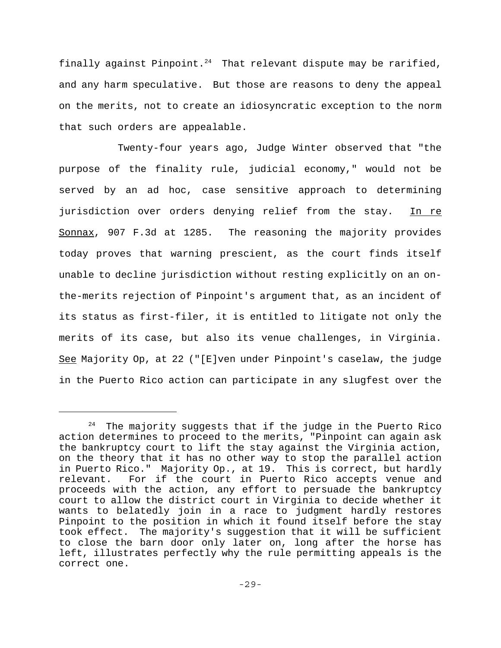finally against Pinpoint. $24$  That relevant dispute may be rarified, and any harm speculative. But those are reasons to deny the appeal on the merits, not to create an idiosyncratic exception to the norm that such orders are appealable.

 Twenty-four years ago, Judge Winter observed that "the purpose of the finality rule, judicial economy," would not be served by an ad hoc, case sensitive approach to determining jurisdiction over orders denying relief from the stay. In re Sonnax, 907 F.3d at 1285. The reasoning the majority provides today proves that warning prescient, as the court finds itself unable to decline jurisdiction without resting explicitly on an onthe-merits rejection of Pinpoint's argument that, as an incident of its status as first-filer, it is entitled to litigate not only the merits of its case, but also its venue challenges, in Virginia. See Majority Op, at 22 ("[E]ven under Pinpoint's caselaw, the judge in the Puerto Rico action can participate in any slugfest over the

 $24$  The majority suggests that if the judge in the Puerto Rico action determines to proceed to the merits, "Pinpoint can again ask the bankruptcy court to lift the stay against the Virginia action, on the theory that it has no other way to stop the parallel action in Puerto Rico." Majority Op., at 19. This is correct, but hardly relevant. For if the court in Puerto Rico accepts venue and proceeds with the action, any effort to persuade the bankruptcy court to allow the district court in Virginia to decide whether it wants to belatedly join in a race to judgment hardly restores Pinpoint to the position in which it found itself before the stay took effect. The majority's suggestion that it will be sufficient to close the barn door only later on, long after the horse has left, illustrates perfectly why the rule permitting appeals is the correct one.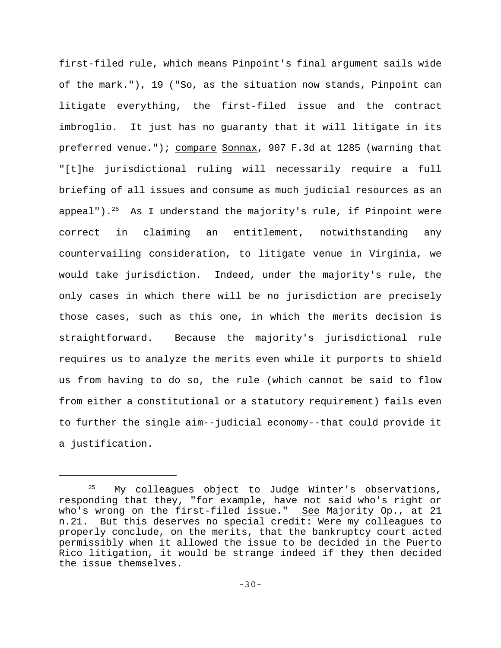first-filed rule, which means Pinpoint's final argument sails wide of the mark."), 19 ("So, as the situation now stands, Pinpoint can litigate everything, the first-filed issue and the contract imbroglio. It just has no guaranty that it will litigate in its preferred venue."); compare Sonnax, 907 F.3d at 1285 (warning that "[t]he jurisdictional ruling will necessarily require a full briefing of all issues and consume as much judicial resources as an appeal").<sup>25</sup> As I understand the majority's rule, if Pinpoint were correct in claiming an entitlement, notwithstanding any countervailing consideration, to litigate venue in Virginia, we would take jurisdiction. Indeed, under the majority's rule, the only cases in which there will be no jurisdiction are precisely those cases, such as this one, in which the merits decision is straightforward. Because the majority's jurisdictional rule requires us to analyze the merits even while it purports to shield us from having to do so, the rule (which cannot be said to flow from either a constitutional or a statutory requirement) fails even to further the single aim--judicial economy--that could provide it a justification.

My colleagues object to Judge Winter's observations, responding that they, "for example, have not said who's right or who's wrong on the first-filed issue." See Majority Op., at 21 n.21. But this deserves no special credit: Were my colleagues to properly conclude, on the merits, that the bankruptcy court acted permissibly when it allowed the issue to be decided in the Puerto Rico litigation, it would be strange indeed if they then decided the issue themselves.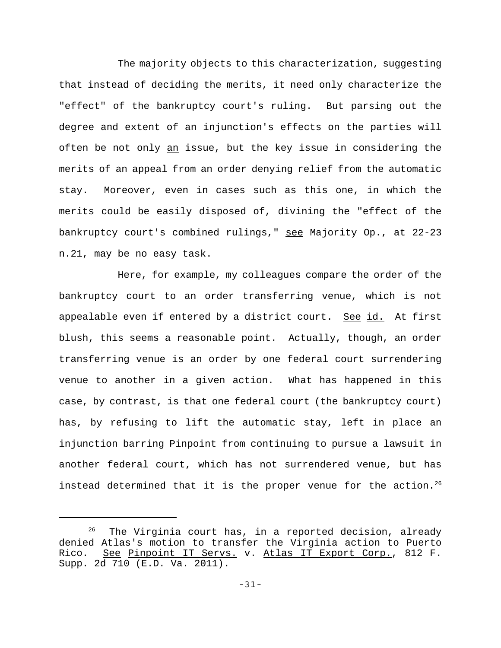The majority objects to this characterization, suggesting that instead of deciding the merits, it need only characterize the "effect" of the bankruptcy court's ruling. But parsing out the degree and extent of an injunction's effects on the parties will often be not only an issue, but the key issue in considering the merits of an appeal from an order denying relief from the automatic stay. Moreover, even in cases such as this one, in which the merits could be easily disposed of, divining the "effect of the bankruptcy court's combined rulings," see Majority Op., at 22-23 n.21, may be no easy task.

Here, for example, my colleagues compare the order of the bankruptcy court to an order transferring venue, which is not appealable even if entered by a district court. See id. At first blush, this seems a reasonable point. Actually, though, an order transferring venue is an order by one federal court surrendering venue to another in a given action. What has happened in this case, by contrast, is that one federal court (the bankruptcy court) has, by refusing to lift the automatic stay, left in place an injunction barring Pinpoint from continuing to pursue a lawsuit in another federal court, which has not surrendered venue, but has instead determined that it is the proper venue for the action.<sup>26</sup>

 $26$  The Virginia court has, in a reported decision, already denied Atlas's motion to transfer the Virginia action to Puerto Rico. See Pinpoint IT Servs. v. Atlas IT Export Corp., 812 F. Supp. 2d 710 (E.D. Va. 2011).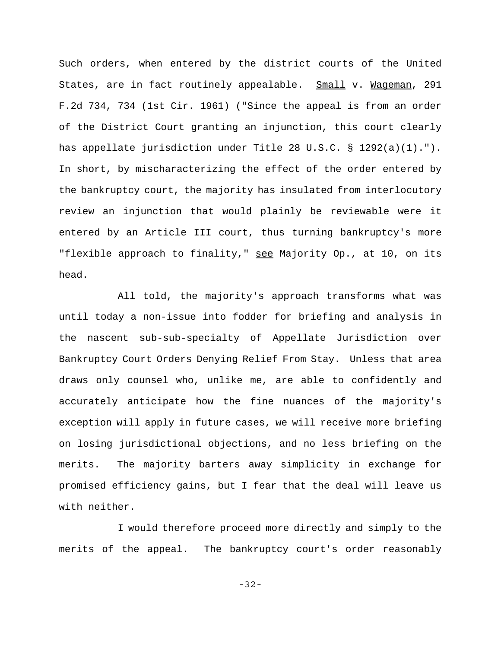Such orders, when entered by the district courts of the United States, are in fact routinely appealable. Small v. Wageman, 291 F.2d 734, 734 (1st Cir. 1961) ("Since the appeal is from an order of the District Court granting an injunction, this court clearly has appellate jurisdiction under Title 28 U.S.C. § 1292(a)(1)."). In short, by mischaracterizing the effect of the order entered by the bankruptcy court, the majority has insulated from interlocutory review an injunction that would plainly be reviewable were it entered by an Article III court, thus turning bankruptcy's more "flexible approach to finality," see Majority Op., at 10, on its head.

All told, the majority's approach transforms what was until today a non-issue into fodder for briefing and analysis in the nascent sub-sub-specialty of Appellate Jurisdiction over Bankruptcy Court Orders Denying Relief From Stay. Unless that area draws only counsel who, unlike me, are able to confidently and accurately anticipate how the fine nuances of the majority's exception will apply in future cases, we will receive more briefing on losing jurisdictional objections, and no less briefing on the merits. The majority barters away simplicity in exchange for promised efficiency gains, but I fear that the deal will leave us with neither.

I would therefore proceed more directly and simply to the merits of the appeal. The bankruptcy court's order reasonably

-32-